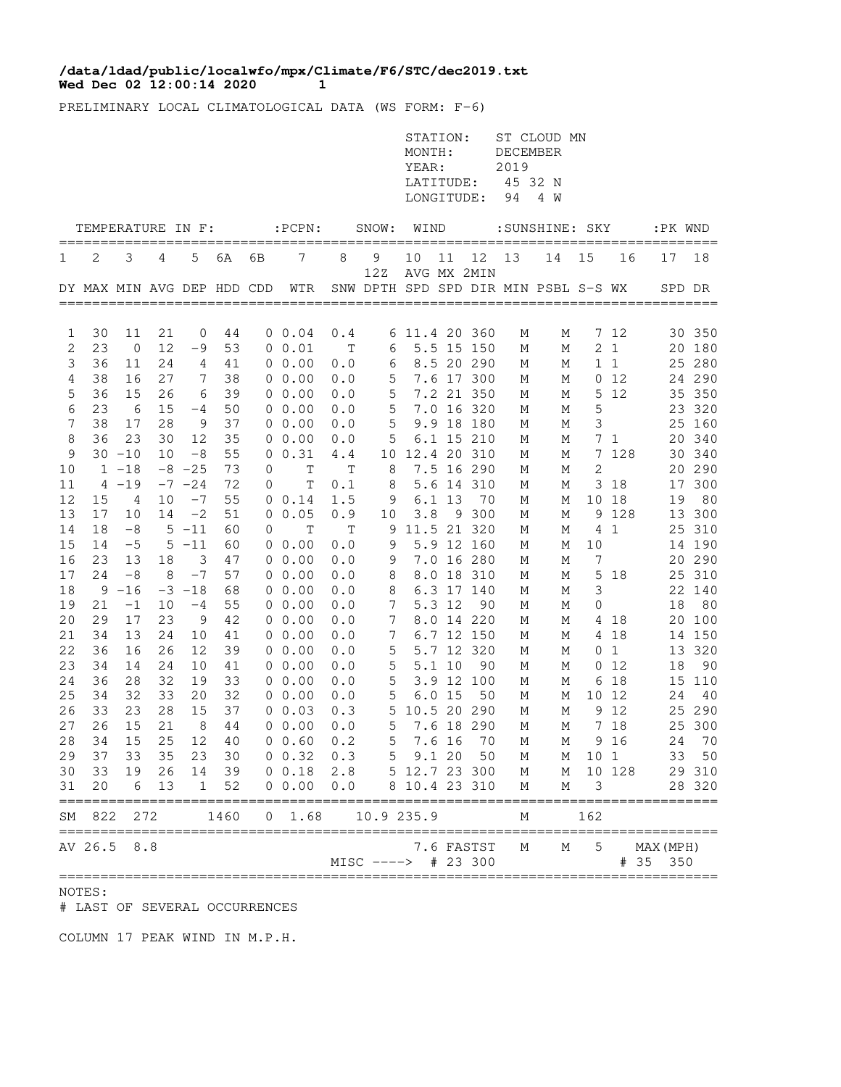## **Wed Dec 02 12:00:14 2020 1 /data/ldad/public/localwfo/mpx/Climate/F6/STC/dec2019.txt**

PRELIMINARY LOCAL CLIMATOLOGICAL DATA (WS FORM: F-6)

|          |          |                      |          |                   |                            |    |                            |            |                                             | STATION:<br>MONTH:<br>YEAR:<br>LATITUDE:<br>LONGITUDE: |        |                  | DECEMBER<br>2019<br>94 | ST CLOUD MN<br>45 32 N<br>4 W |                |                      |                       |                  |
|----------|----------|----------------------|----------|-------------------|----------------------------|----|----------------------------|------------|---------------------------------------------|--------------------------------------------------------|--------|------------------|------------------------|-------------------------------|----------------|----------------------|-----------------------|------------------|
|          |          |                      |          | TEMPERATURE IN F: |                            |    | $:$ PCPN $:$               |            | SNOW:                                       | WIND                                                   |        |                  |                        | : SUNSHINE: SKY               |                |                      | :PK WND               | =====            |
| 1        | 2        | 3                    | 4        | 5                 | 6A                         | 6В | 7                          | 8          | 9                                           | 10                                                     | 11     | 12               | 13                     | 14                            | 15             | 16                   | 17                    | 18               |
|          |          |                      |          |                   | DY MAX MIN AVG DEP HDD CDD |    | WTR                        |            | 12Z<br>SNW DPTH SPD SPD DIR MIN PSBL S-S WX |                                                        |        | AVG MX 2MIN      |                        |                               |                |                      |                       | SPD DR           |
|          |          |                      |          |                   |                            |    |                            |            |                                             |                                                        |        |                  |                        |                               |                |                      |                       |                  |
| 1<br>2   | 30<br>23 | 11<br>$\overline{0}$ | 21<br>12 | 0<br>-9           | 44<br>53                   |    | $0 \t 0.04$<br>$0\;\;0.01$ | 0.4<br>T   | 6                                           | 6 11.4 20 360                                          |        | 5.5 15 150       | М<br>М                 | М<br>М                        | 2              | 7 12<br>$\mathbf{1}$ |                       | 30 350<br>20 180 |
| 3        | 36       | 11                   | 24       | 4                 | 41                         |    | 00.00                      | 0.0        | 6                                           |                                                        |        | 8.5 20 290       | М                      | М                             | 1              | $\mathbf{1}$         | 25                    | 280              |
| 4        | 38       | 16                   | 27       | 7                 | 38                         |    | 00.00                      | 0.0        | 5                                           |                                                        |        | 7.6 17 300       | М                      | М                             | 0              | 12                   |                       | 24 290           |
| 5        | 36       | 15                   | 26       | 6                 | 39                         |    | 00.00                      | 0.0        | 5                                           |                                                        |        | 7.2 21 350       | М                      | Μ                             | 5              | 12                   |                       | 35 350           |
| 6        | 23       | 6                    | 15       | $-4$              | 50                         |    | 00.00                      | 0.0        | 5                                           |                                                        |        | 7.0 16 320       | М                      | М                             | 5              |                      | 23                    | 320              |
| 7        | 38       | 17                   | 28       | 9                 | 37                         |    | $0\;\;0.00$                | 0.0        | 5                                           |                                                        |        | 9.9 18 180       | М                      | М                             | 3              |                      | 25                    | 160              |
| 8        | 36       | 23                   | 30       | 12                | 35                         |    | $0\;\;0.00$                | 0.0        | 5                                           |                                                        |        | 6.1 15 210       | М                      | М                             | $7\phantom{.}$ | 1                    | 20                    | 340              |
| 9        |          | $30 - 10$            | 10       | $-8$              | 55                         | 0  | 0.31                       | 4.4        | 10                                          |                                                        |        | 12.4 20 310      | М                      | М                             | 7              | 128                  | 30                    | 340              |
| 10       |          | $1 - 18$             |          | $-8$ $-25$        | 73                         | 0  | Т                          | Τ          | 8                                           |                                                        |        | 7.5 16 290       | М                      | Μ                             | 2              |                      |                       | 20 290           |
| 11       |          | $4 - 19$             |          | $-7 -24$          | 72                         | 0  | $\mathbb T$                | 0.1        | 8                                           |                                                        |        | 5.6 14 310       | Μ                      | М                             | 3              | 18                   | 17                    | 300              |
| 12       | 15       | 4                    | 10       | $-7$              | 55                         |    | $0 \t 0.14$                | 1.5        | 9                                           |                                                        | 6.1 13 | 70               | М                      | М                             | 10             | 18                   | 19                    | 80               |
| 13       | 17       | $10$                 | 14       | $-2$              | 51                         | 0  | 0.05                       | 0.9        | 10                                          | 3.8                                                    |        | 9 300            | М                      | М                             | 9              | 128                  | 13                    | 300              |
| 14       | 18       | -8                   | 5        | $-11$             | 60                         | 0  | $\mathbb T$                | Т          | 9                                           |                                                        |        | 11.5 21 320      | М                      | М                             | 4              | 1                    | 25                    | 310              |
| 15       | 14       | $-5$                 | 5        | $-11$             | 60                         |    | $0\;\;0.00$                | 0.0        | 9                                           |                                                        |        | 5.9 12 160       | М                      | М                             | 10             |                      | 14                    | 190              |
| 16       | 23       | 13                   | 18       | 3                 | 47                         |    | $0\;\;0.00$                | 0.0        | 9                                           |                                                        |        | 7.0 16 280       | М                      | Μ                             | 7              |                      |                       | 20 290           |
| 17       | 24       | $-8$                 | 8        | $-7$              | 57                         |    | $0\;\;0.00$                | 0.0        | 8                                           |                                                        |        | 8.0 18 310       | М                      | Μ                             | 5              | 18                   | 25                    | 310              |
| 18       | 21       | $9 - 16$             |          | $-3 - 18$         | 68                         |    | 00.00                      | 0.0        | 8<br>7                                      |                                                        |        | 6.3 17 140<br>90 | М                      | М                             | 3              |                      | 18                    | 22 140           |
| 19<br>20 | 29       | $-1$<br>17           | 10<br>23 | $-4$<br>9         | 55<br>42                   |    | $0\;\;0.00$<br>$0\;\;0.00$ | 0.0<br>0.0 | 7                                           |                                                        | 5.3 12 | 8.0 14 220       | М<br>М                 | М<br>М                        | 0              | 4 18                 |                       | 80<br>20 100     |
| 21       | 34       | 13                   | 24       | 10                | 41                         |    | $0\;\;0.00$                | 0.0        | 7                                           |                                                        |        | 6.7 12 150       | М                      | М                             |                | 4 18                 |                       | 14 150           |
| 22       | 36       | 16                   | 26       | 12                | 39                         |    | 00.00                      | 0.0        | 5                                           |                                                        |        | 5.7 12 320       | М                      | М                             |                | 0 <sub>1</sub>       |                       | 13 320           |
| 23       | 34       | 14                   | 24       | 10                | 41                         |    | $0\;\;0.00$                | 0.0        | 5                                           |                                                        | 5.1 10 | 90               | М                      | М                             | 0              | 12                   | $18\,$                | 90               |
| 24       | 36       | 28                   | 32       | 19                | 33                         |    | $0\;\;0.00$                | 0.0        | 5                                           |                                                        |        | 3.9 12 100       | М                      | М                             | 6              | 18                   | 15                    | 110              |
| 25       | 34       | 32                   | 33       | 20                | 32                         |    | 0 0.00                     | 0.0        | 5                                           | 6.0                                                    | 15     | 50               | М                      | М                             | 10             | 12                   | 24                    | 40               |
| 26       | 33       | 23                   | 28       | 15                | 37                         |    | $0\;\;0.03$                | 0.3        | 5                                           |                                                        |        | 10.5 20 290      | М                      | М                             | 9              | 12                   | 25                    | 290              |
| 27       | 26       | 15                   | 21       | 8                 | 44                         |    | 00.00                      | 0.0        | 5                                           |                                                        |        | 7.6 18 290       | М                      | М                             | 7              | 18                   | 25                    | 300              |
| 28       | 34       | 15                   | 25       | 12                | 40                         |    | 0 0.60                     | 0.2        | 5                                           |                                                        | 7.6 16 | 70               | М                      | М                             | 9              | 16                   | 24                    | 70               |
| 29       | 37       | 33                   | 35       | 23                | 30                         |    | 0 0.32 0.3                 |            |                                             | 5 9.1 20                                               |        | 50               | М                      |                               | M 10 1         |                      |                       | 33 50            |
| 30       | 33       | 19                   | 26       | 14                | 39                         |    | 0 0.18                     | 2.8        |                                             | 5 12.7 23 300                                          |        |                  | М                      | М                             | 10 128         |                      |                       | 29 310           |
| 31       | 20       | 6                    | 13       | $\mathbf{1}$      | 52                         |    | 0 0.00                     | 0.0        |                                             | 8 10.4 23 310                                          |        |                  | М                      | М                             | 3              |                      |                       | 28 320           |
| SΜ       | 822      | 272                  |          |                   | 1460                       | 0  | 1.68                       |            | 10.9 235.9                                  |                                                        |        |                  | М                      |                               | 162            |                      |                       |                  |
|          | AV 26.5  | 8.8                  |          |                   |                            |    |                            |            | MISC ----> # 23 300                         |                                                        |        | 7.6 FASTST       | М                      | М                             | 5              |                      | MAX (MPH)<br># 35 350 |                  |

NOTES:

# LAST OF SEVERAL OCCURRENCES

COLUMN 17 PEAK WIND IN M.P.H.